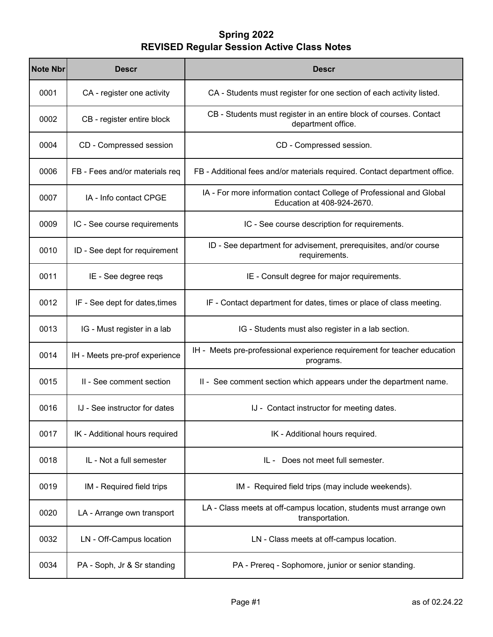| <b>Note Nbr</b> | <b>Descr</b>                   | <b>Descr</b>                                                                                       |
|-----------------|--------------------------------|----------------------------------------------------------------------------------------------------|
| 0001            | CA - register one activity     | CA - Students must register for one section of each activity listed.                               |
| 0002            | CB - register entire block     | CB - Students must register in an entire block of courses. Contact<br>department office.           |
| 0004            | CD - Compressed session        | CD - Compressed session.                                                                           |
| 0006            | FB - Fees and/or materials req | FB - Additional fees and/or materials required. Contact department office.                         |
| 0007            | IA - Info contact CPGE         | IA - For more information contact College of Professional and Global<br>Education at 408-924-2670. |
| 0009            | IC - See course requirements   | IC - See course description for requirements.                                                      |
| 0010            | ID - See dept for requirement  | ID - See department for advisement, prerequisites, and/or course<br>requirements.                  |
| 0011            | IE - See degree reqs           | IE - Consult degree for major requirements.                                                        |
| 0012            | IF - See dept for dates, times | IF - Contact department for dates, times or place of class meeting.                                |
| 0013            | IG - Must register in a lab    | IG - Students must also register in a lab section.                                                 |
| 0014            | IH - Meets pre-prof experience | IH - Meets pre-professional experience requirement for teacher education<br>programs.              |
| 0015            | II - See comment section       | II - See comment section which appears under the department name.                                  |
| 0016            | IJ - See instructor for dates  | IJ - Contact instructor for meeting dates.                                                         |
| 0017            | IK - Additional hours required | IK - Additional hours required.                                                                    |
| 0018            | IL - Not a full semester       | Does not meet full semester.<br>IL -                                                               |
| 0019            | IM - Required field trips      | IM - Required field trips (may include weekends).                                                  |
| 0020            | LA - Arrange own transport     | LA - Class meets at off-campus location, students must arrange own<br>transportation.              |
| 0032            | LN - Off-Campus location       | LN - Class meets at off-campus location.                                                           |
| 0034            | PA - Soph, Jr & Sr standing    | PA - Prereq - Sophomore, junior or senior standing.                                                |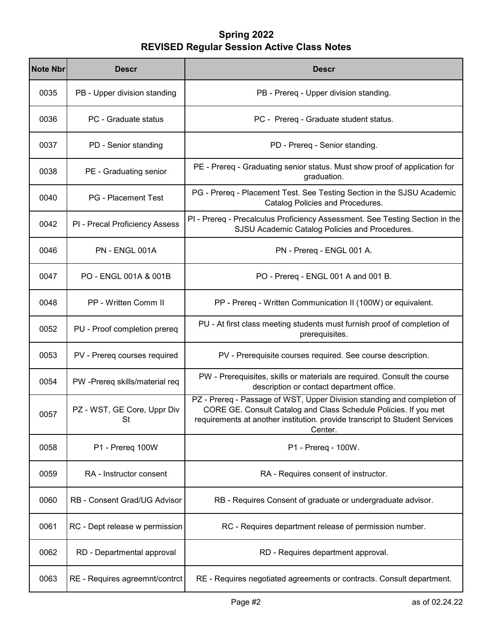| <b>Note Nbr</b> | Descr                             | Descr                                                                                                                                                                                                                                 |
|-----------------|-----------------------------------|---------------------------------------------------------------------------------------------------------------------------------------------------------------------------------------------------------------------------------------|
| 0035            | PB - Upper division standing      | PB - Prereq - Upper division standing.                                                                                                                                                                                                |
| 0036            | PC - Graduate status              | PC - Prereq - Graduate student status.                                                                                                                                                                                                |
| 0037            | PD - Senior standing              | PD - Prereq - Senior standing.                                                                                                                                                                                                        |
| 0038            | PE - Graduating senior            | PE - Prereq - Graduating senior status. Must show proof of application for<br>graduation.                                                                                                                                             |
| 0040            | <b>PG</b> - Placement Test        | PG - Prereq - Placement Test. See Testing Section in the SJSU Academic<br>Catalog Policies and Procedures.                                                                                                                            |
| 0042            | PI - Precal Proficiency Assess    | PI - Prereq - Precalculus Proficiency Assessment. See Testing Section in the<br>SJSU Academic Catalog Policies and Procedures.                                                                                                        |
| 0046            | PN - ENGL 001A                    | PN - Prereq - ENGL 001 A.                                                                                                                                                                                                             |
| 0047            | PO - ENGL 001A & 001B             | PO - Prereq - ENGL 001 A and 001 B.                                                                                                                                                                                                   |
| 0048            | PP - Written Comm II              | PP - Prereq - Written Communication II (100W) or equivalent.                                                                                                                                                                          |
| 0052            | PU - Proof completion prereq      | PU - At first class meeting students must furnish proof of completion of<br>prerequisites.                                                                                                                                            |
| 0053            | PV - Prereq courses required      | PV - Prerequisite courses required. See course description.                                                                                                                                                                           |
| 0054            | PW -Prereq skills/material req    | PW - Prerequisites, skills or materials are required. Consult the course<br>description or contact department office.                                                                                                                 |
| 0057            | PZ - WST, GE Core, Uppr Div<br>St | PZ - Prereq - Passage of WST, Upper Division standing and completion of<br>CORE GE. Consult Catalog and Class Schedule Policies. If you met<br>requirements at another institution. provide transcript to Student Services<br>Center. |
| 0058            | P1 - Prereq 100W                  | P1 - Prereq - 100W.                                                                                                                                                                                                                   |
| 0059            | RA - Instructor consent           | RA - Requires consent of instructor.                                                                                                                                                                                                  |
| 0060            | RB - Consent Grad/UG Advisor      | RB - Requires Consent of graduate or undergraduate advisor.                                                                                                                                                                           |
| 0061            | RC - Dept release w permission    | RC - Requires department release of permission number.                                                                                                                                                                                |
| 0062            | RD - Departmental approval        | RD - Requires department approval.                                                                                                                                                                                                    |
| 0063            | RE - Requires agreemnt/contrct    | RE - Requires negotiated agreements or contracts. Consult department.                                                                                                                                                                 |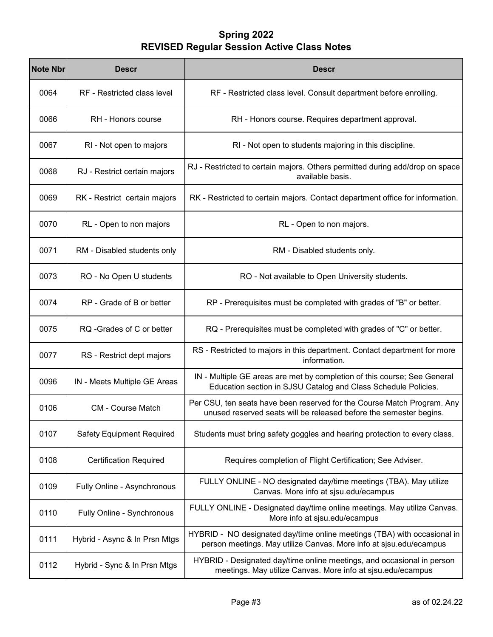| <b>Note Nbr</b> | <b>Descr</b>                     | <b>Descr</b>                                                                                                                                   |
|-----------------|----------------------------------|------------------------------------------------------------------------------------------------------------------------------------------------|
| 0064            | RF - Restricted class level      | RF - Restricted class level. Consult department before enrolling.                                                                              |
| 0066            | RH - Honors course               | RH - Honors course. Requires department approval.                                                                                              |
| 0067            | RI - Not open to majors          | RI - Not open to students majoring in this discipline.                                                                                         |
| 0068            | RJ - Restrict certain majors     | RJ - Restricted to certain majors. Others permitted during add/drop on space<br>available basis.                                               |
| 0069            | RK - Restrict certain majors     | RK - Restricted to certain majors. Contact department office for information.                                                                  |
| 0070            | RL - Open to non majors          | RL - Open to non majors.                                                                                                                       |
| 0071            | RM - Disabled students only      | RM - Disabled students only.                                                                                                                   |
| 0073            | RO - No Open U students          | RO - Not available to Open University students.                                                                                                |
| 0074            | RP - Grade of B or better        | RP - Prerequisites must be completed with grades of "B" or better.                                                                             |
| 0075            | RQ -Grades of C or better        | RQ - Prerequisites must be completed with grades of "C" or better.                                                                             |
| 0077            | RS - Restrict dept majors        | RS - Restricted to majors in this department. Contact department for more<br>information.                                                      |
| 0096            | IN - Meets Multiple GE Areas     | IN - Multiple GE areas are met by completion of this course; See General<br>Education section in SJSU Catalog and Class Schedule Policies.     |
| 0106            | <b>CM - Course Match</b>         | Per CSU, ten seats have been reserved for the Course Match Program. Any<br>unused reserved seats will be released before the semester begins.  |
| 0107            | <b>Safety Equipment Required</b> | Students must bring safety goggles and hearing protection to every class.                                                                      |
| 0108            | <b>Certification Required</b>    | Requires completion of Flight Certification; See Adviser.                                                                                      |
| 0109            | Fully Online - Asynchronous      | FULLY ONLINE - NO designated day/time meetings (TBA). May utilize<br>Canvas. More info at sjsu.edu/ecampus                                     |
| 0110            | Fully Online - Synchronous       | FULLY ONLINE - Designated day/time online meetings. May utilize Canvas.<br>More info at sjsu.edu/ecampus                                       |
| 0111            | Hybrid - Async & In Prsn Mtgs    | HYBRID - NO designated day/time online meetings (TBA) with occasional in<br>person meetings. May utilize Canvas. More info at sjsu.edu/ecampus |
| 0112            | Hybrid - Sync & In Prsn Mtgs     | HYBRID - Designated day/time online meetings, and occasional in person<br>meetings. May utilize Canvas. More info at sjsu.edu/ecampus          |